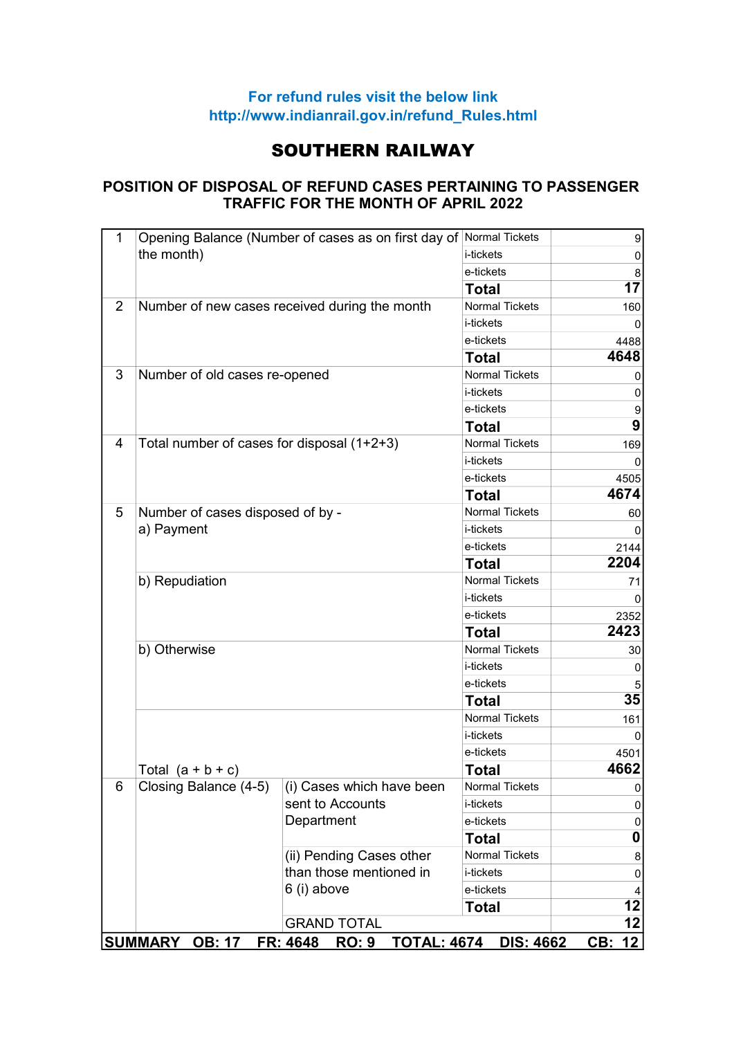## For refund rules visit the below link http://www.indianrail.gov.in/refund\_Rules.html

## SOUTHERN RAILWAY

## POSITION OF DISPOSAL OF REFUND CASES PERTAINING TO PASSENGER TRAFFIC FOR THE MONTH OF APRIL 2022

| $\mathbf 1$                                                                              |                                                | Opening Balance (Number of cases as on first day of Normal Tickets |                       | $\boldsymbol{9}$ |  |
|------------------------------------------------------------------------------------------|------------------------------------------------|--------------------------------------------------------------------|-----------------------|------------------|--|
|                                                                                          | the month)                                     |                                                                    | i-tickets             | 0                |  |
|                                                                                          |                                                |                                                                    | e-tickets             | 8                |  |
|                                                                                          |                                                |                                                                    | <b>Total</b>          | 17               |  |
| 2                                                                                        |                                                | Number of new cases received during the month                      | <b>Normal Tickets</b> | 160              |  |
|                                                                                          |                                                |                                                                    | i-tickets             |                  |  |
|                                                                                          |                                                |                                                                    | e-tickets             | 4488             |  |
|                                                                                          |                                                |                                                                    | <b>Total</b>          | 4648             |  |
| 3                                                                                        | Number of old cases re-opened                  |                                                                    | <b>Normal Tickets</b> | 0                |  |
|                                                                                          |                                                |                                                                    | i-tickets             | 0                |  |
|                                                                                          |                                                |                                                                    | e-tickets             | 9                |  |
|                                                                                          |                                                |                                                                    | <b>Total</b>          | $\overline{9}$   |  |
| 4                                                                                        | Total number of cases for disposal (1+2+3)     |                                                                    | <b>Normal Tickets</b> | 169              |  |
|                                                                                          |                                                |                                                                    | i-tickets             | $\Omega$         |  |
|                                                                                          |                                                |                                                                    | e-tickets             | 4505             |  |
|                                                                                          |                                                |                                                                    |                       | 4674             |  |
| 5                                                                                        | Number of cases disposed of by -<br>a) Payment |                                                                    | <b>Normal Tickets</b> | 60               |  |
|                                                                                          |                                                |                                                                    | i-tickets             |                  |  |
|                                                                                          |                                                |                                                                    | e-tickets             | 2144             |  |
|                                                                                          |                                                |                                                                    |                       |                  |  |
|                                                                                          | b) Repudiation                                 |                                                                    |                       | 71               |  |
|                                                                                          |                                                | i-tickets                                                          |                       |                  |  |
|                                                                                          |                                                |                                                                    | e-tickets             | 2352             |  |
|                                                                                          |                                                |                                                                    | <b>Total</b>          | 2423             |  |
|                                                                                          | b) Otherwise                                   |                                                                    | <b>Normal Tickets</b> | 30               |  |
|                                                                                          |                                                |                                                                    | i-tickets             | 0                |  |
|                                                                                          |                                                |                                                                    | e-tickets             |                  |  |
|                                                                                          |                                                | <b>Total</b>                                                       | 35                    |                  |  |
|                                                                                          |                                                |                                                                    | <b>Normal Tickets</b> | 161              |  |
|                                                                                          |                                                | i-tickets                                                          |                       |                  |  |
|                                                                                          |                                                | e-tickets                                                          | 4501                  |                  |  |
|                                                                                          | Total $(a + b + c)$                            |                                                                    | <b>Total</b>          | 4662             |  |
| 6                                                                                        | Closing Balance (4-5)                          | (i) Cases which have been                                          | <b>Normal Tickets</b> | 0                |  |
|                                                                                          |                                                | sent to Accounts                                                   | i-tickets             | 0                |  |
|                                                                                          |                                                | Department                                                         | e-tickets             | 0                |  |
|                                                                                          |                                                |                                                                    | <b>Total</b>          | 0                |  |
|                                                                                          |                                                | (ii) Pending Cases other                                           | Normal Tickets        | 8                |  |
|                                                                                          |                                                | than those mentioned in<br>6 (i) above                             | i-tickets             | 0                |  |
|                                                                                          |                                                |                                                                    | e-tickets             | 4                |  |
|                                                                                          |                                                |                                                                    | <b>Total</b>          | 12               |  |
|                                                                                          |                                                | <b>GRAND TOTAL</b>                                                 |                       | 12               |  |
| SUMMARY OB: 17<br>FR: 4648 RO: 9<br>12 <br><b>TOTAL: 4674</b><br><b>DIS: 4662</b><br>CB: |                                                |                                                                    |                       |                  |  |